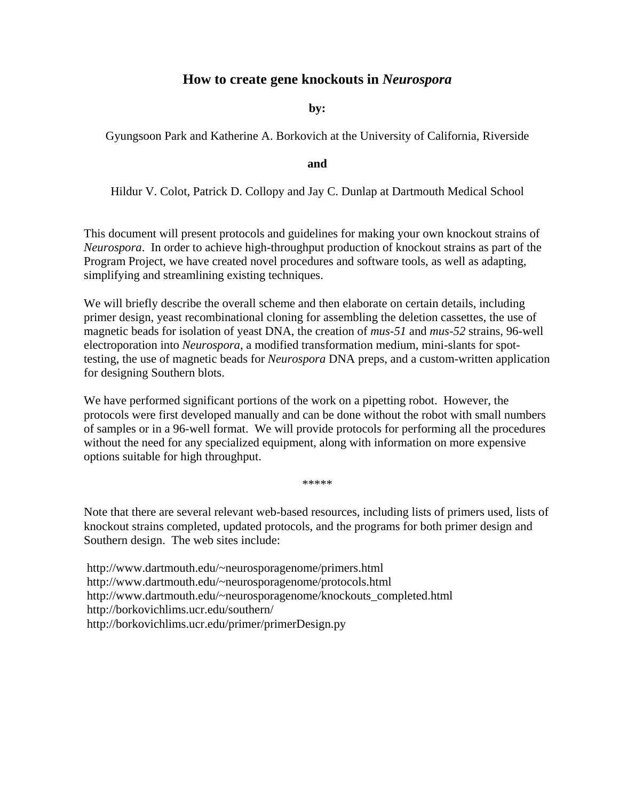## **How to create gene knockouts in** *Neurospora*

**by:**

Gyungsoon Park and Katherine A. Borkovich at the University of California, Riverside

**and** 

Hildur V. Colot, Patrick D. Collopy and Jay C. Dunlap at Dartmouth Medical School

This document will present protocols and guidelines for making your own knockout strains of *Neurospora*. In order to achieve high-throughput production of knockout strains as part of the Program Project, we have created novel procedures and software tools, as well as adapting, simplifying and streamlining existing techniques.

We will briefly describe the overall scheme and then elaborate on certain details, including primer design, yeast recombinational cloning for assembling the deletion cassettes, the use of magnetic beads for isolation of yeast DNA, the creation of *mus*-*51* and *mus*-*52* strains, 96-well electroporation into *Neurospora*, a modified transformation medium, mini-slants for spottesting, the use of magnetic beads for *Neurospora* DNA preps, and a custom-written application for designing Southern blots.

We have performed significant portions of the work on a pipetting robot. However, the protocols were first developed manually and can be done without the robot with small numbers of samples or in a 96-well format. We will provide protocols for performing all the procedures without the need for any specialized equipment, along with information on more expensive options suitable for high throughput.

\*\*\*\*\*

Note that there are several relevant web-based resources, including lists of primers used, lists of knockout strains completed, updated protocols, and the programs for both primer design and Southern design. The web sites include:

 http://www.dartmouth.edu/~neurosporagenome/primers.html  [http://www.dartmouth.edu/~neurosporagenome/protocols.html](http://www.dartmouth.edu/%7Eneurosporagenome/protocols.html)   [http://www.dartmouth.edu/~neurosporagenome/knockouts\\_completed.html](http://www.dartmouth.edu/%7Eneurosporagenome/knockouts_completed.html)  <http://borkovichlims.ucr.edu/southern/> <http://borkovichlims.ucr.edu/primer/primerDesign.py>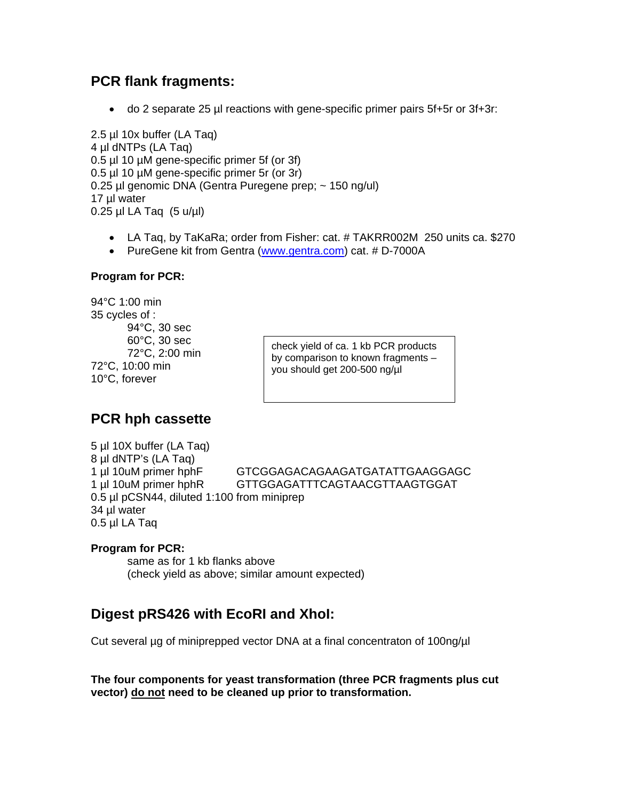# **PCR flank fragments:**

• do 2 separate 25 µl reactions with gene-specific primer pairs 5f+5r or 3f+3r:

2.5 µl 10x buffer (LA Taq) 4 µl dNTPs (LA Taq) 0.5 µl 10 µM gene-specific primer 5f (or 3f) 0.5 µl 10 µM gene-specific primer 5r (or 3r) 0.25 µl genomic DNA (Gentra Puregene prep; ~ 150 ng/ul) 17 µl water  $0.25$  µl LA Taq  $(5 u/\mu l)$ 

- LA Taq, by TaKaRa; order from Fisher: cat. # [TAKRR002M](https://www1.fishersci.com/Coupon?catnum=TAKRR002M) 250 units ca. \$270
- PureGene kit from Gentra ([www.gentra.com\)](http://www.gentra.com/) cat. # D-7000A

#### **Program for PCR:**

94°C 1:00 min 35 cycles of : 94°C, 30 sec 72°C, 2:00 min 72°C, 10:00 min 10°C, forever

 $60^{\circ}$ C, 30 sec check yield of ca. 1 kb PCR products by comparison to known fragments – you should get 200-500 ng/µl

# **PCR hph cassette**

5 µl 10X buffer (LA Taq) 8 µl dNTP's (LA Taq) 1 µl 10uM primer hphF GTCGGAGACAGAAGATGATATTGAAGGAGC 1 µl 10uM primer hphR GTTGGAGATTTCAGTAACGTTAAGTGGAT 0.5 µl pCSN44, diluted 1:100 from miniprep 34 µl water 0.5 µl LA Taq

### **Program for PCR:**

 same as for 1 kb flanks above (check yield as above; similar amount expected)

# **Digest pRS426 with EcoRI and XhoI:**

Cut several µg of miniprepped vector DNA at a final concentraton of 100ng/µl

**The four components for yeast transformation (three PCR fragments plus cut vector) do not need to be cleaned up prior to transformation.**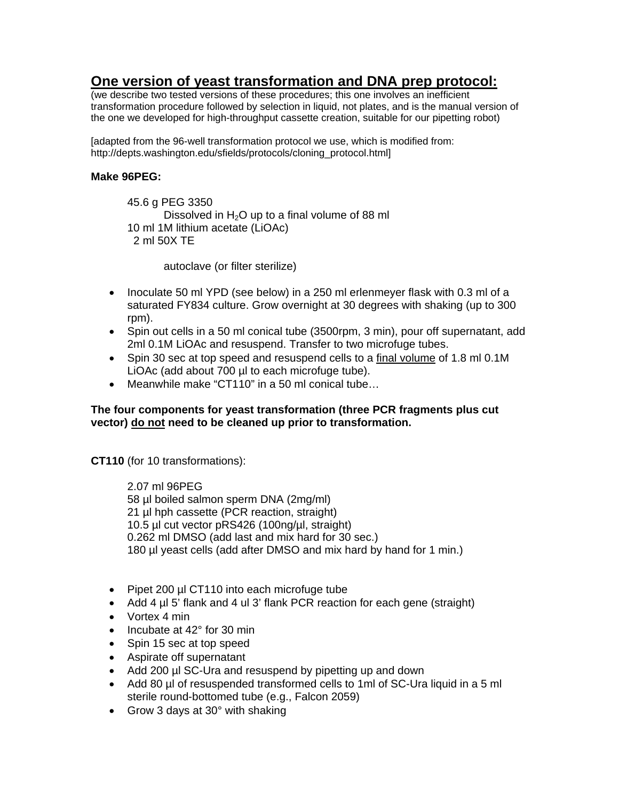# **One version of yeast transformation and DNA prep protocol:**

(we describe two tested versions of these procedures; this one involves an inefficient transformation procedure followed by selection in liquid, not plates, and is the manual version of the one we developed for high-throughput cassette creation, suitable for our pipetting robot)

[adapted from the 96-well transformation protocol we use, which is modified from: http://depts.washington.edu/sfields/protocols/cloning\_protocol.html]

#### **Make 96PEG:**

 45.6 g PEG 3350 Dissolved in  $H_2O$  up to a final volume of 88 ml 10 ml 1M lithium acetate (LiOAc) 2 ml 50X TE

autoclave (or filter sterilize)

- Inoculate 50 ml YPD (see below) in a 250 ml erlenmeyer flask with 0.3 ml of a saturated FY834 culture. Grow overnight at 30 degrees with shaking (up to 300 rpm).
- Spin out cells in a 50 ml conical tube (3500rpm, 3 min), pour off supernatant, add 2ml 0.1M LiOAc and resuspend. Transfer to two microfuge tubes.
- Spin 30 sec at top speed and resuspend cells to a final volume of 1.8 ml 0.1M LiOAc (add about 700 µl to each microfuge tube).
- Meanwhile make "CT110" in a 50 ml conical tube…

#### **The four components for yeast transformation (three PCR fragments plus cut vector) do not need to be cleaned up prior to transformation.**

**CT110** (for 10 transformations):

 2.07 ml 96PEG 58 µl boiled salmon sperm DNA (2mg/ml) 21 µl hph cassette (PCR reaction, straight) 10.5 µl cut vector pRS426 (100ng/µl, straight) 0.262 ml DMSO (add last and mix hard for 30 sec.) 180 µl yeast cells (add after DMSO and mix hard by hand for 1 min.)

- Pipet 200 µl CT110 into each microfuge tube
- Add 4 µl 5' flank and 4 ul 3' flank PCR reaction for each gene (straight)
- Vortex 4 min
- Incubate at 42° for 30 min
- Spin 15 sec at top speed
- Aspirate off supernatant
- Add 200 µl SC-Ura and resuspend by pipetting up and down
- Add 80 µl of resuspended transformed cells to 1ml of SC-Ura liquid in a 5 ml sterile round-bottomed tube (e.g., Falcon 2059)
- Grow 3 days at 30° with shaking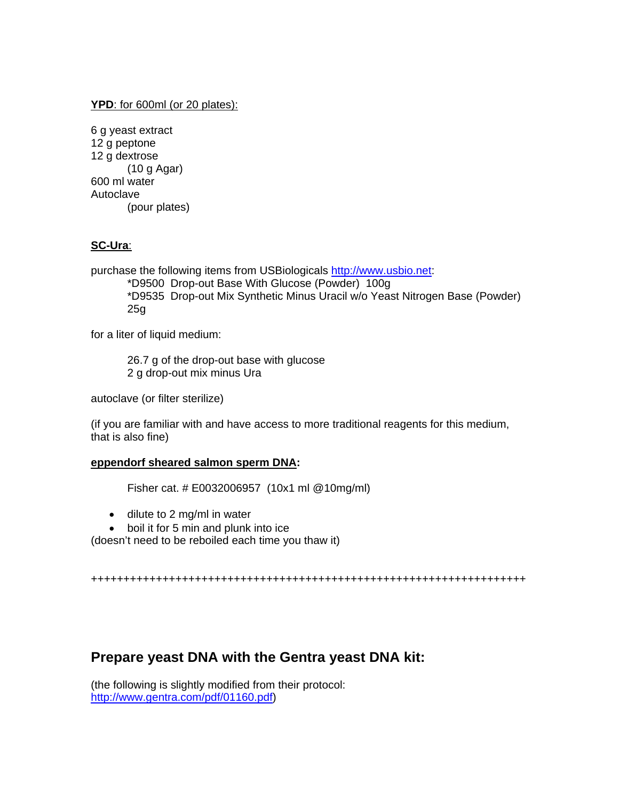#### **YPD**: for 600ml (or 20 plates):

| 6 g yeast extract |
|-------------------|
| 12 g peptone      |
| 12 g dextrose     |
| (10 g Agar)       |
| 600 ml water      |
| Autoclave         |
| (pour plates)     |

### **SC-Ura**:

purchase the following items from USBiologicals [http://www.usbio.net:](http://www.usbio.net/)

\*D9500 Drop-out Base With Glucose (Powder) 100g \*D9535 Drop-out Mix Synthetic Minus Uracil w/o Yeast Nitrogen Base (Powder) 25g

for a liter of liquid medium:

26.7 g of the drop-out base with glucose 2 g drop-out mix minus Ura

autoclave (or filter sterilize)

(if you are familiar with and have access to more traditional reagents for this medium, that is also fine)

#### **eppendorf sheared salmon sperm DNA:**

Fisher cat. # E0032006957 (10x1 ml @10mg/ml)

- dilute to 2 mg/ml in water
- boil it for 5 min and plunk into ice

(doesn't need to be reboiled each time you thaw it)

+++++++++++++++++++++++++++++++++++++++++++++++++++++++++++++++++++

## **Prepare yeast DNA with the Gentra yeast DNA kit:**

(the following is slightly modified from their protocol: [http://www.gentra.com/pdf/01160.pdf\)](http://www.gentra.com/pdf/01160.pdf)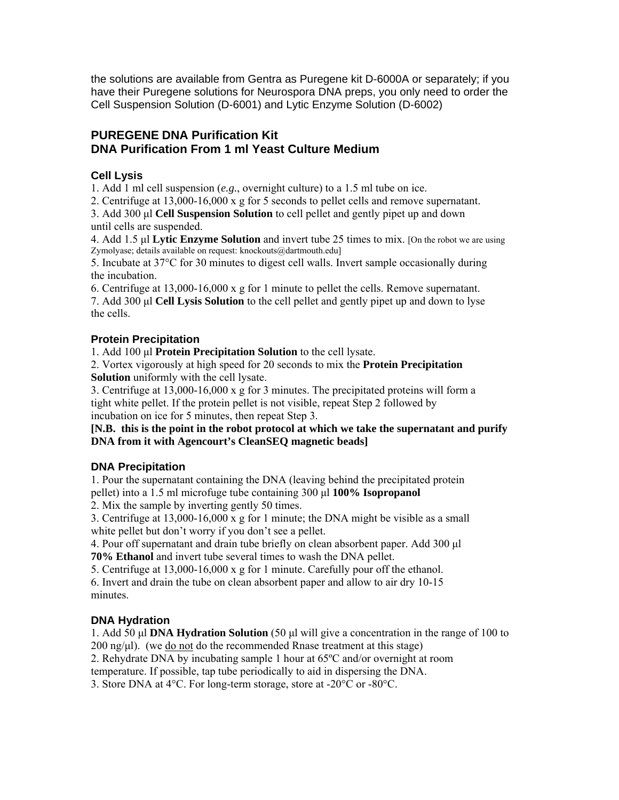the solutions are available from Gentra as Puregene kit D-6000A or separately; if you have their Puregene solutions for Neurospora DNA preps, you only need to order the Cell Suspension Solution (D-6001) and Lytic Enzyme Solution (D-6002)

## **PUREGENE DNA Purification Kit DNA Purification From 1 ml Yeast Culture Medium**

### **Cell Lysis**

1. Add 1 ml cell suspension (*e.g.*, overnight culture) to a 1.5 ml tube on ice.

2. Centrifuge at 13,000-16,000 x g for 5 seconds to pellet cells and remove supernatant.

3. Add 300 μl **Cell Suspension Solution** to cell pellet and gently pipet up and down until cells are suspended.

4. Add 1.5 μl **Lytic Enzyme Solution** and invert tube 25 times to mix. [On the robot we are using Zymolyase; details available on request: knockouts@dartmouth.edu]

5. Incubate at 37°C for 30 minutes to digest cell walls. Invert sample occasionally during the incubation.

6. Centrifuge at 13,000-16,000 x g for 1 minute to pellet the cells. Remove supernatant. 7. Add 300 μl **Cell Lysis Solution** to the cell pellet and gently pipet up and down to lyse the cells.

### **Protein Precipitation**

1. Add 100 μl **Protein Precipitation Solution** to the cell lysate.

2. Vortex vigorously at high speed for 20 seconds to mix the **Protein Precipitation Solution** uniformly with the cell lysate.

3. Centrifuge at 13,000-16,000 x g for 3 minutes. The precipitated proteins will form a tight white pellet. If the protein pellet is not visible, repeat Step 2 followed by incubation on ice for 5 minutes, then repeat Step 3.

#### **[N.B. this is the point in the robot protocol at which we take the supernatant and purify DNA from it with Agencourt's CleanSEQ magnetic beads]**

## **DNA Precipitation**

1. Pour the supernatant containing the DNA (leaving behind the precipitated protein pellet) into a 1.5 ml microfuge tube containing 300 μl **100% Isopropanol** 

2. Mix the sample by inverting gently 50 times.

3. Centrifuge at 13,000-16,000 x g for 1 minute; the DNA might be visible as a small white pellet but don't worry if you don't see a pellet.

4. Pour off supernatant and drain tube briefly on clean absorbent paper. Add 300 μl **70% Ethanol** and invert tube several times to wash the DNA pellet.

5. Centrifuge at 13,000-16,000 x g for 1 minute. Carefully pour off the ethanol.

6. Invert and drain the tube on clean absorbent paper and allow to air dry 10-15 minutes.

## **DNA Hydration**

1. Add 50 μl **DNA Hydration Solution** (50 μl will give a concentration in the range of 100 to 200 ng/μl). (we do not do the recommended Rnase treatment at this stage)

2. Rehydrate DNA by incubating sample 1 hour at 65ºC and/or overnight at room

temperature. If possible, tap tube periodically to aid in dispersing the DNA.

3. Store DNA at 4°C. For long-term storage, store at -20°C or -80°C.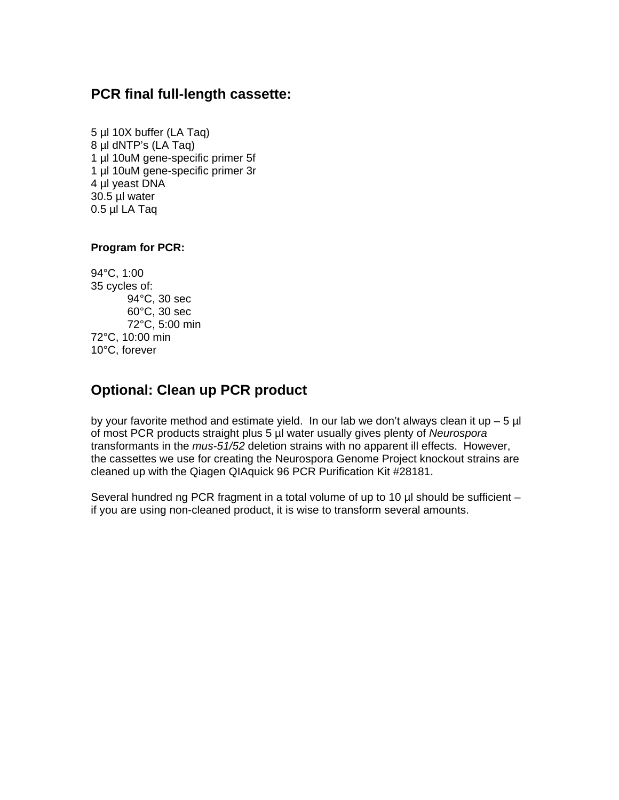# **PCR final full-length cassette:**

5 µl 10X buffer (LA Taq) 8 µl dNTP's (LA Taq) 1 µl 10uM gene-specific primer 5f 1 µl 10uM gene-specific primer 3r 4 µl yeast DNA 30.5 µl water 0.5 µl LA Taq

### **Program for PCR:**

94°C, 1:00 35 cycles of: 94°C, 30 sec 60°C, 30 sec 72°C, 5:00 min 72°C, 10:00 min 10°C, forever

# **Optional: Clean up PCR product**

by your favorite method and estimate yield. In our lab we don't always clean it up  $-5$  µl of most PCR products straight plus 5 µl water usually gives plenty of *Neurospora* transformants in the *mus-51/52* deletion strains with no apparent ill effects. However, the cassettes we use for creating the Neurospora Genome Project knockout strains are cleaned up with the Qiagen QIAquick 96 PCR Purification Kit #28181.

Several hundred ng PCR fragment in a total volume of up to 10 µl should be sufficient – if you are using non-cleaned product, it is wise to transform several amounts.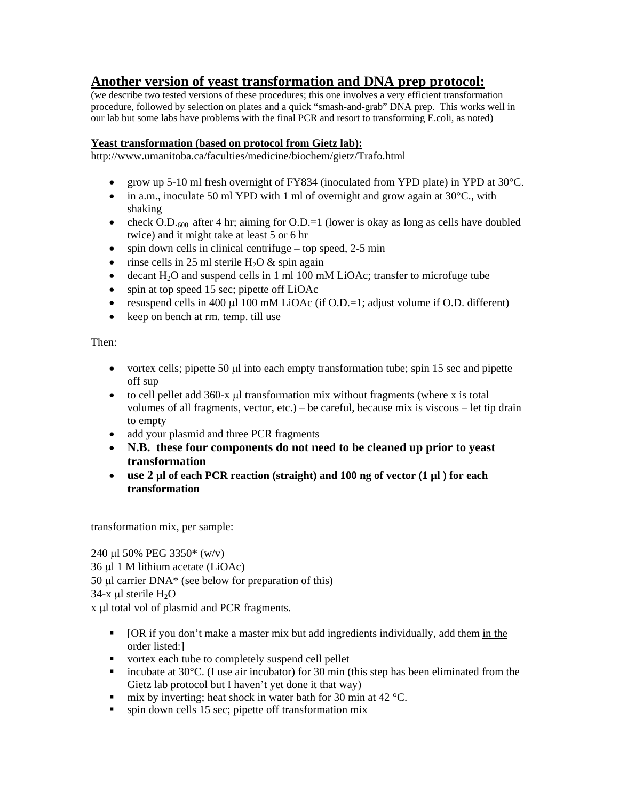# **Another version of yeast transformation and DNA prep protocol:**

(we describe two tested versions of these procedures; this one involves a very efficient transformation procedure, followed by selection on plates and a quick "smash-and-grab" DNA prep. This works well in our lab but some labs have problems with the final PCR and resort to transforming E.coli, as noted)

### **Yeast transformation (based on protocol from Gietz lab):**

http://www.umanitoba.ca/faculties/medicine/biochem/gietz/Trafo.html

- grow up 5-10 ml fresh overnight of FY834 (inoculated from YPD plate) in YPD at 30°C.
- in a.m., inoculate 50 ml YPD with 1 ml of overnight and grow again at  $30^{\circ}$ C., with shaking
- check O.D.<sub>600</sub> after 4 hr; aiming for O.D.=1 (lower is okay as long as cells have doubled twice) and it might take at least 5 or 6 hr
- spin down cells in clinical centrifuge top speed,  $2-5$  min
- rinse cells in 25 ml sterile  $H_2O \&$  spin again
- decant  $H_2O$  and suspend cells in 1 ml 100 mM LiOAc; transfer to microfuge tube
- spin at top speed 15 sec; pipette off LiOAc
- resuspend cells in 400  $\mu$ l 100 mM LiOAc (if O.D.=1; adjust volume if O.D. different)
- keep on bench at rm. temp. till use

Then:

- vortex cells; pipette 50 µl into each empty transformation tube; spin 15 sec and pipette off sup
- to cell pellet add 360-x μl transformation mix without fragments (where x is total volumes of all fragments, vector, etc.) – be careful, because mix is viscous – let tip drain to empty
- add your plasmid and three PCR fragments
- **N.B. these four components do not need to be cleaned up prior to yeast transformation**
- **use 2 µl of each PCR reaction (straight) and 100 ng of vector (1 µl ) for each transformation**

transformation mix, per sample:

240 μl 50% PEG 3350\* (w/v) 36 μl 1 M lithium acetate (LiOAc) 50 μl carrier DNA\* (see below for preparation of this)  $34-x$  μl sterile  $H_2O$ x μl total vol of plasmid and PCR fragments.

- **•** [OR if you don't make a master mix but add ingredients individually, add them in the order listed:]
- vortex each tube to completely suspend cell pellet
- incubate at  $30^{\circ}$ C. (I use air incubator) for 30 min (this step has been eliminated from the Gietz lab protocol but I haven't yet done it that way)
- mix by inverting; heat shock in water bath for 30 min at 42  $^{\circ}$ C.
- **s** spin down cells 15 sec; pipette off transformation mix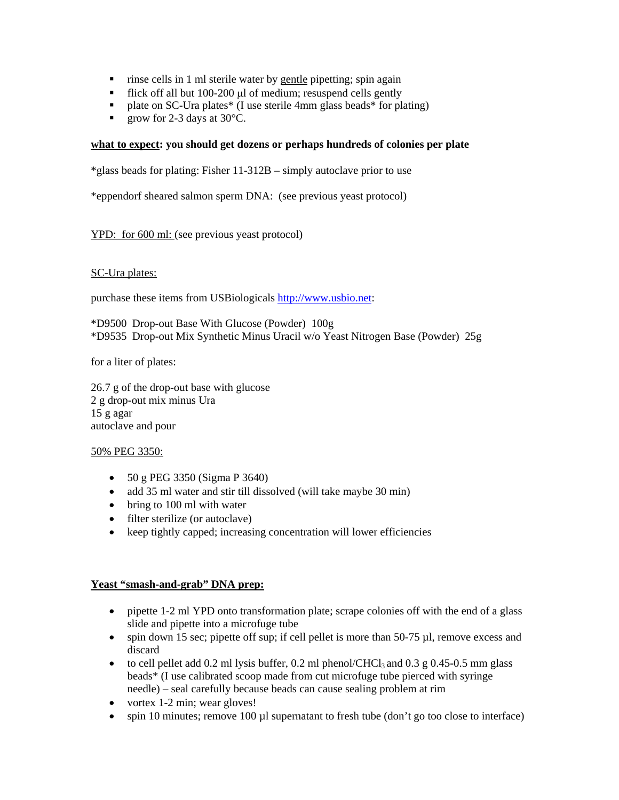- rinse cells in 1 ml sterile water by gentle pipetting; spin again
- Flick off all but 100-200 μl of medium; resuspend cells gently
- plate on SC-Ura plates\* (I use sterile 4mm glass beads\* for plating)
- qrow for 2-3 days at  $30^{\circ}$ C.

#### **what to expect: you should get dozens or perhaps hundreds of colonies per plate**

\*glass beads for plating: Fisher 11-312B – simply autoclave prior to use

\*eppendorf sheared salmon sperm DNA: (see previous yeast protocol)

YPD: for 600 ml: (see previous yeast protocol)

#### SC-Ura plates:

purchase these items from USBiologicals [http://www.usbio.net:](http://www.usbio.net/)

\*D9500 Drop-out Base With Glucose (Powder) 100g \*D9535 Drop-out Mix Synthetic Minus Uracil w/o Yeast Nitrogen Base (Powder) 25g

for a liter of plates:

26.7 g of the drop-out base with glucose 2 g drop-out mix minus Ura 15 g agar autoclave and pour

#### 50% PEG 3350:

- 50 g PEG 3350 (Sigma P 3640)
- add 35 ml water and stir till dissolved (will take maybe 30 min)
- bring to 100 ml with water
- filter sterilize (or autoclave)
- keep tightly capped; increasing concentration will lower efficiencies

#### **Yeast "smash-and-grab" DNA prep:**

- pipette 1-2 ml YPD onto transformation plate; scrape colonies off with the end of a glass slide and pipette into a microfuge tube
- spin down 15 sec; pipette off sup; if cell pellet is more than  $50-75 \mu l$ , remove excess and discard
- to cell pellet add 0.2 ml lysis buffer, 0.2 ml phenol/CHCl<sub>3</sub> and 0.3 g 0.45-0.5 mm glass beads\* (I use calibrated scoop made from cut microfuge tube pierced with syringe needle) – seal carefully because beads can cause sealing problem at rim
- vortex 1-2 min; wear gloves!
- spin 10 minutes; remove 100 µl supernatant to fresh tube (don't go too close to interface)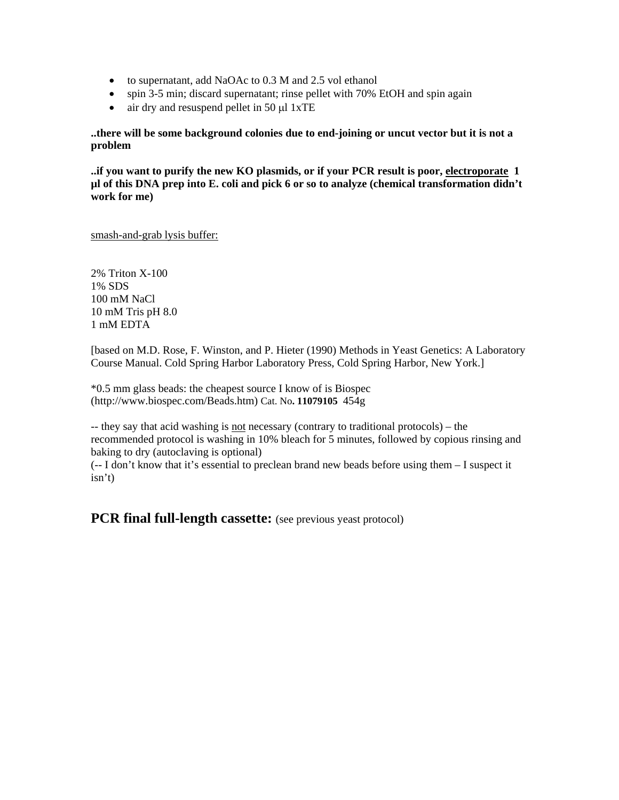- to supernatant, add NaOAc to 0.3 M and 2.5 vol ethanol
- spin 3-5 min; discard supernatant; rinse pellet with 70% EtOH and spin again
- air dry and resuspend pellet in 50 μl 1xTE

**..there will be some background colonies due to end-joining or uncut vector but it is not a problem** 

**..if you want to purify the new KO plasmids, or if your PCR result is poor, electroporate 1 µl of this DNA prep into E. coli and pick 6 or so to analyze (chemical transformation didn't work for me)** 

smash-and-grab lysis buffer:

2% Triton X-100 1% SDS 100 mM NaCl 10 mM Tris pH 8.0 1 mM EDTA

[based on M.D. Rose, F. Winston, and P. Hieter (1990) Methods in Yeast Genetics: A Laboratory Course Manual. Cold Spring Harbor Laboratory Press, Cold Spring Harbor, New York.]

\*0.5 mm glass beads: the cheapest source I know of is Biospec ([http://www.biospec.com/Beads.htm\)](http://www.biospec.com/Beads.htm) Cat. No**. 11079105** 454g

-- they say that acid washing is not necessary (contrary to traditional protocols) – the recommended protocol is washing in 10% bleach for 5 minutes, followed by copious rinsing and baking to dry (autoclaving is optional)

(-- I don't know that it's essential to preclean brand new beads before using them – I suspect it isn't)

**PCR final full-length cassette:** (see previous yeast protocol)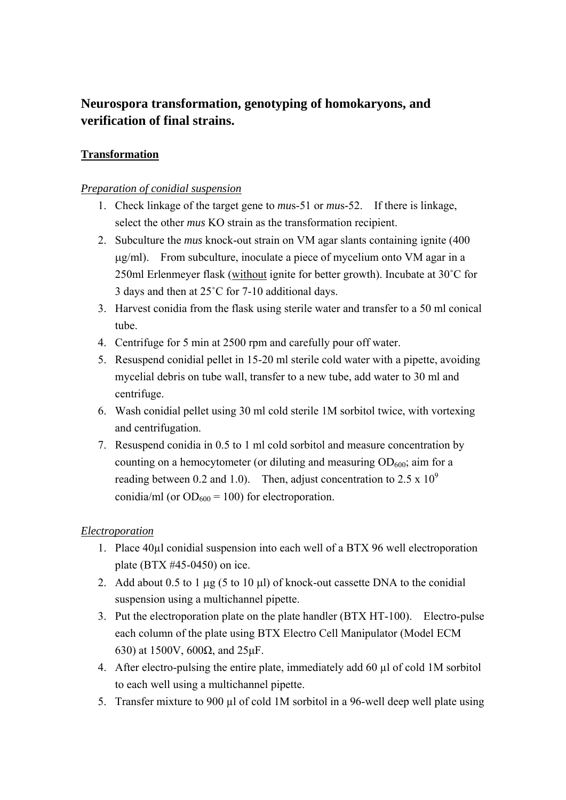# **Neurospora transformation, genotyping of homokaryons, and verification of final strains.**

## **Transformation**

## *Preparation of conidial suspension*

- 1. Check linkage of the target gene to *mu*s-51 or *mu*s-52. If there is linkage, select the other *mus* KO strain as the transformation recipient.
- 2. Subculture the *mus* knock-out strain on VM agar slants containing ignite (400 μg/ml). From subculture, inoculate a piece of mycelium onto VM agar in a 250ml Erlenmeyer flask (without ignite for better growth). Incubate at 30˚C for 3 days and then at 25˚C for 7-10 additional days.
- 3. Harvest conidia from the flask using sterile water and transfer to a 50 ml conical tube.
- 4. Centrifuge for 5 min at 2500 rpm and carefully pour off water.
- 5. Resuspend conidial pellet in 15-20 ml sterile cold water with a pipette, avoiding mycelial debris on tube wall, transfer to a new tube, add water to 30 ml and centrifuge.
- 6. Wash conidial pellet using 30 ml cold sterile 1M sorbitol twice, with vortexing and centrifugation.
- 7. Resuspend conidia in 0.5 to 1 ml cold sorbitol and measure concentration by counting on a hemocytometer (or diluting and measuring  $OD_{600}$ ; aim for a reading between 0.2 and 1.0). Then, adjust concentration to 2.5 x  $10^9$ conidia/ml (or  $OD_{600} = 100$ ) for electroporation.

## *Electroporation*

- 1. Place 40µl conidial suspension into each well of a BTX 96 well electroporation plate (BTX #45-0450) on ice.
- 2. Add about 0.5 to 1 μg (5 to 10 μl) of knock-out cassette DNA to the conidial suspension using a multichannel pipette.
- 3. Put the electroporation plate on the plate handler (BTX HT-100). Electro-pulse each column of the plate using BTX Electro Cell Manipulator (Model ECM 630) at 1500V, 600Ω, and 25μF.
- 4. After electro-pulsing the entire plate, immediately add 60 µl of cold 1M sorbitol to each well using a multichannel pipette.
- 5. Transfer mixture to 900 µl of cold 1M sorbitol in a 96-well deep well plate using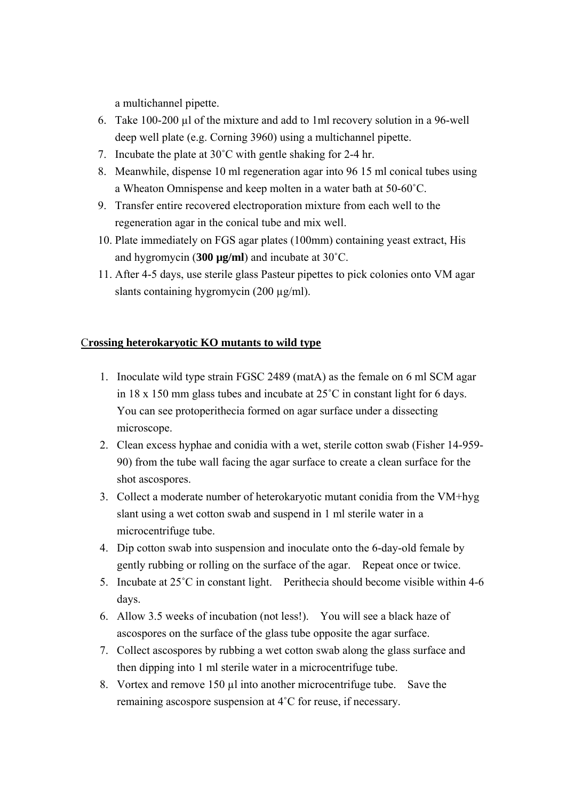a multichannel pipette.

- 6. Take 100-200 µl of the mixture and add to 1ml recovery solution in a 96-well deep well plate (e.g. Corning 3960) using a multichannel pipette.
- 7. Incubate the plate at 30˚C with gentle shaking for 2-4 hr.
- 8. Meanwhile, dispense 10 ml regeneration agar into 96 15 ml conical tubes using a Wheaton Omnispense and keep molten in a water bath at 50-60˚C.
- 9. Transfer entire recovered electroporation mixture from each well to the regeneration agar in the conical tube and mix well.
- 10. Plate immediately on FGS agar plates (100mm) containing yeast extract, His and hygromycin (**300 µg/ml**) and incubate at 30˚C.
- 11. After 4-5 days, use sterile glass Pasteur pipettes to pick colonies onto VM agar slants containing hygromycin (200 µg/ml).

## C**rossing heterokaryotic KO mutants to wild type**

- 1. Inoculate wild type strain FGSC 2489 (matA) as the female on 6 ml SCM agar in 18 x 150 mm glass tubes and incubate at 25˚C in constant light for 6 days. You can see protoperithecia formed on agar surface under a dissecting microscope.
- 2. Clean excess hyphae and conidia with a wet, sterile cotton swab (Fisher 14-959- 90) from the tube wall facing the agar surface to create a clean surface for the shot ascospores.
- 3. Collect a moderate number of heterokaryotic mutant conidia from the VM+hyg slant using a wet cotton swab and suspend in 1 ml sterile water in a microcentrifuge tube.
- 4. Dip cotton swab into suspension and inoculate onto the 6-day-old female by gently rubbing or rolling on the surface of the agar. Repeat once or twice.
- 5. Incubate at 25˚C in constant light. Perithecia should become visible within 4-6 days.
- 6. Allow 3.5 weeks of incubation (not less!). You will see a black haze of ascospores on the surface of the glass tube opposite the agar surface.
- 7. Collect ascospores by rubbing a wet cotton swab along the glass surface and then dipping into 1 ml sterile water in a microcentrifuge tube.
- 8. Vortex and remove 150 µl into another microcentrifuge tube. Save the remaining ascospore suspension at 4˚C for reuse, if necessary.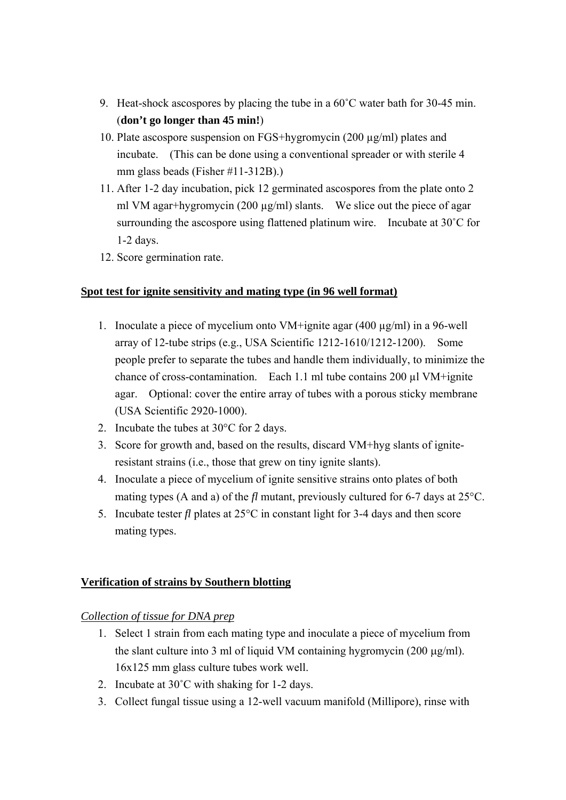- 9. Heat-shock ascospores by placing the tube in a 60˚C water bath for 30-45 min. (**don't go longer than 45 min!**)
- 10. Plate ascospore suspension on FGS+hygromycin (200 µg/ml) plates and incubate. (This can be done using a conventional spreader or with sterile 4 mm glass beads (Fisher #11-312B).)
- 11. After 1-2 day incubation, pick 12 germinated ascospores from the plate onto 2 ml VM agar+hygromycin (200 μg/ml) slants. We slice out the piece of agar surrounding the ascospore using flattened platinum wire. Incubate at 30˚C for 1-2 days.
- 12. Score germination rate.

## **Spot test for ignite sensitivity and mating type (in 96 well format)**

- 1. Inoculate a piece of mycelium onto VM+ignite agar (400 µg/ml) in a 96-well array of 12-tube strips (e.g., USA Scientific 1212-1610/1212-1200). Some people prefer to separate the tubes and handle them individually, to minimize the chance of cross-contamination. Each 1.1 ml tube contains 200 µl VM+ignite agar. Optional: cover the entire array of tubes with a porous sticky membrane (USA Scientific 2920-1000).
- 2. Incubate the tubes at 30°C for 2 days.
- 3. Score for growth and, based on the results, discard VM+hyg slants of igniteresistant strains (i.e., those that grew on tiny ignite slants).
- 4. Inoculate a piece of mycelium of ignite sensitive strains onto plates of both mating types (A and a) of the *fl* mutant, previously cultured for 6-7 days at 25°C.
- 5. Incubate tester *fl* plates at 25°C in constant light for 3-4 days and then score mating types.

## **Verification of strains by Southern blotting**

## *Collection of tissue for DNA prep*

- 1. Select 1 strain from each mating type and inoculate a piece of mycelium from the slant culture into 3 ml of liquid VM containing hygromycin (200 μg/ml). 16x125 mm glass culture tubes work well.
- 2. Incubate at 30˚C with shaking for 1-2 days.
- 3. Collect fungal tissue using a 12-well vacuum manifold (Millipore), rinse with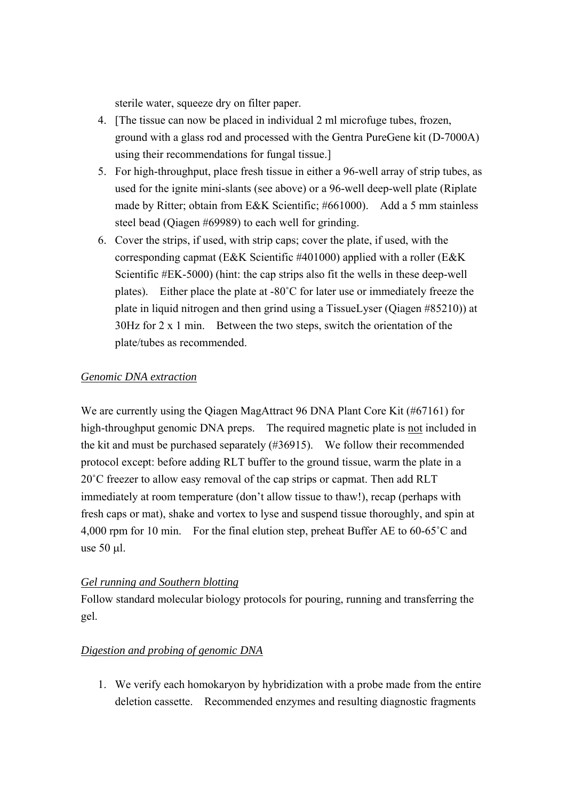sterile water, squeeze dry on filter paper.

- 4. [The tissue can now be placed in individual 2 ml microfuge tubes, frozen, ground with a glass rod and processed with the Gentra PureGene kit (D-7000A) using their recommendations for fungal tissue.]
- 5. For high-throughput, place fresh tissue in either a 96-well array of strip tubes, as used for the ignite mini-slants (see above) or a 96-well deep-well plate (Riplate made by Ritter; obtain from E&K Scientific; #661000). Add a 5 mm stainless steel bead (Qiagen #69989) to each well for grinding.
- 6. Cover the strips, if used, with strip caps; cover the plate, if used, with the corresponding capmat (E&K Scientific #401000) applied with a roller (E&K Scientific #EK-5000) (hint: the cap strips also fit the wells in these deep-well plates). Either place the plate at -80˚C for later use or immediately freeze the plate in liquid nitrogen and then grind using a TissueLyser (Qiagen #85210)) at 30Hz for 2 x 1 min. Between the two steps, switch the orientation of the plate/tubes as recommended.

## *Genomic DNA extraction*

We are currently using the Oiagen MagAttract 96 DNA Plant Core Kit (#67161) for high-throughput genomic DNA preps. The required magnetic plate is not included in the kit and must be purchased separately (#36915). We follow their recommended protocol except: before adding RLT buffer to the ground tissue, warm the plate in a 20˚C freezer to allow easy removal of the cap strips or capmat. Then add RLT immediately at room temperature (don't allow tissue to thaw!), recap (perhaps with fresh caps or mat), shake and vortex to lyse and suspend tissue thoroughly, and spin at 4,000 rpm for 10 min. For the final elution step, preheat Buffer AE to 60-65˚C and use 50 μl.

## *Gel running and Southern blotting*

Follow standard molecular biology protocols for pouring, running and transferring the gel.

## *Digestion and probing of genomic DNA*

1. We verify each homokaryon by hybridization with a probe made from the entire deletion cassette. Recommended enzymes and resulting diagnostic fragments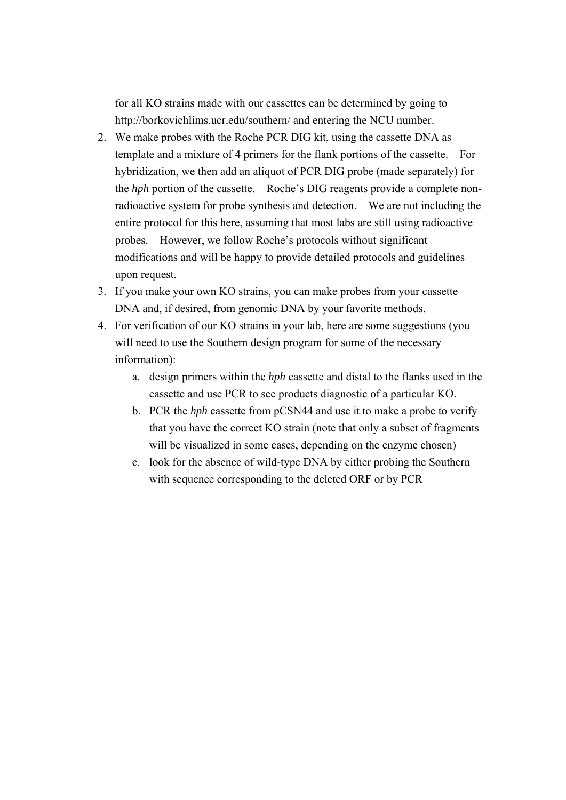for all KO strains made with our cassettes can be determined by going to <http://borkovichlims.ucr.edu/southern/>and entering the NCU number.

- 2. We make probes with the Roche PCR DIG kit, using the cassette DNA as template and a mixture of 4 primers for the flank portions of the cassette. For hybridization, we then add an aliquot of PCR DIG probe (made separately) for the *hph* portion of the cassette. Roche's DIG reagents provide a complete nonradioactive system for probe synthesis and detection. We are not including the entire protocol for this here, assuming that most labs are still using radioactive probes. However, we follow Roche's protocols without significant modifications and will be happy to provide detailed protocols and guidelines upon request.
- 3. If you make your own KO strains, you can make probes from your cassette DNA and, if desired, from genomic DNA by your favorite methods.
- 4. For verification of our KO strains in your lab, here are some suggestions (you will need to use the Southern design program for some of the necessary information):
	- a. design primers within the *hph* cassette and distal to the flanks used in the cassette and use PCR to see products diagnostic of a particular KO.
	- b. PCR the *hph* cassette from pCSN44 and use it to make a probe to verify that you have the correct KO strain (note that only a subset of fragments will be visualized in some cases, depending on the enzyme chosen)
	- c. look for the absence of wild-type DNA by either probing the Southern with sequence corresponding to the deleted ORF or by PCR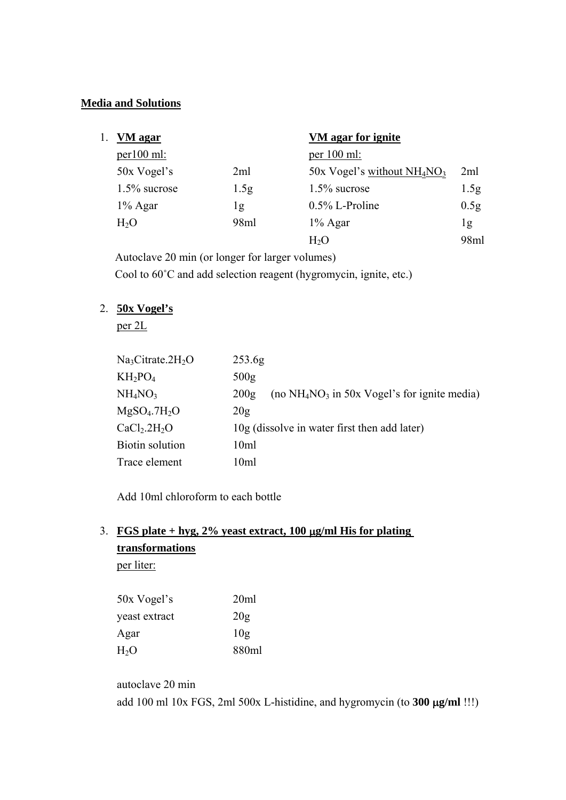## **Media and Solutions**

| Ι. | VM agar         |      | VM agar for ignite             |                  |
|----|-----------------|------|--------------------------------|------------------|
|    | $per100$ ml:    |      | per $100$ ml:                  |                  |
|    | 50x Vogel's     | 2ml  | 50x Vogel's without $NH_4NO_3$ | 2ml              |
|    | $1.5\%$ sucrose | 1.5g | $1.5\%$ sucrose                | 1.5 <sub>g</sub> |
|    | $1\%$ Agar      | 1g   | $0.5\%$ L-Proline              | 0.5 <sub>g</sub> |
|    | $H_2O$          | 98ml | $1\%$ Agar                     | lg               |
|    |                 |      | $H_2O$                         | 98ml             |

Autoclave 20 min (or longer for larger volumes) Cool to 60˚C and add selection reagent (hygromycin, ignite, etc.)

# 2. **50x Vogel's**

per 2L

| Na <sub>3</sub> Citrate.2H <sub>2</sub> O | 253.6 <sub>g</sub>                                      |
|-------------------------------------------|---------------------------------------------------------|
| $KH_2PO_4$                                | 500 <sub>g</sub>                                        |
| NH <sub>4</sub> NO <sub>3</sub>           | (no $NH_4NO_3$ in 50x Vogel's for ignite media)<br>200g |
| MgSO <sub>4</sub> .7H <sub>2</sub> O      | 20g                                                     |
| CaCl <sub>2</sub> .2H <sub>2</sub> O      | 10g (dissolve in water first then add later)            |
| <b>Biotin solution</b>                    | 10ml                                                    |
| Trace element                             | 10 <sub>ml</sub>                                        |

Add 10ml chloroform to each bottle

# 3. **FGS plate + hyg, 2% yeast extract, 100** μ**g/ml His for plating transformations** per liter:

| 50x Vogel's   | 20ml  |
|---------------|-------|
| yeast extract | 20g   |
| Agar          | 10g   |
| $H_2O$        | 880ml |

autoclave 20 min add 100 ml 10x FGS, 2ml 500x L-histidine, and hygromycin (to **300** μ**g/ml** !!!)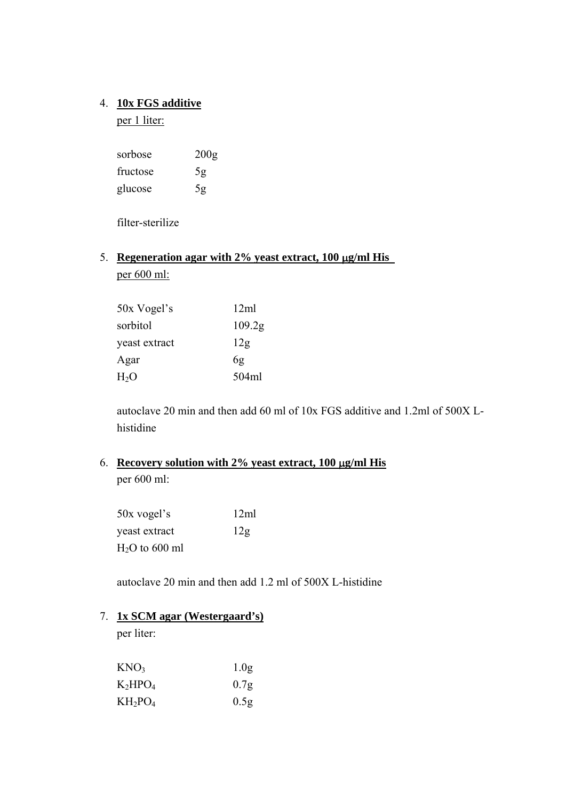## 4. **10x FGS additive**

per 1 liter:

| sorbose  | 200g |
|----------|------|
| fructose | 5g   |
| glucose  | 5g   |

filter-sterilize

# 5. **Regeneration agar with 2% yeast extract, 100** μ**g/ml His**  per 600 ml:

| 50x Vogel's   | 12ml               |
|---------------|--------------------|
| sorbitol      | 109.2 <sub>g</sub> |
| yeast extract | 12g                |
| Agar          | 6g                 |
| $H_2O$        | 504ml              |

autoclave 20 min and then add 60 ml of 10x FGS additive and 1.2ml of 500X Lhistidine

# 6. **Recovery solution with 2% yeast extract, 100** μ**g/ml His** per 600 ml:

50x vogel's 12ml yeast extract 12g  $H<sub>2</sub>O$  to 600 ml

autoclave 20 min and then add 1.2 ml of 500X L-histidine

## 7. **1x SCM agar (Westergaard's)**

per liter:

| KNO3       | 1.0 <sub>g</sub> |
|------------|------------------|
| K2HPO4     | 0.7 <sub>g</sub> |
| $KH_2PO_4$ | 0.5 <sub>g</sub> |